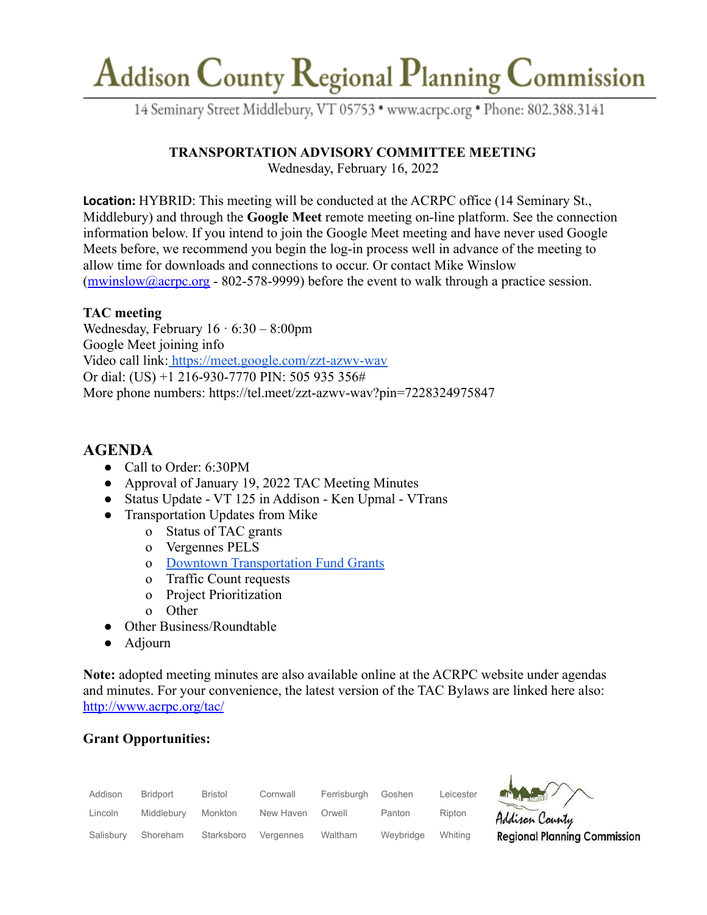# Addison County Regional Planning Commission

14 Seminary Street Middlebury, VT 05753 · www.acrpc.org · Phone: 802.388.3141

## **TRANSPORTATION ADVISORY COMMITTEE MEETING**

Wednesday, February 16, 2022

**Location:** HYBRID: This meeting will be conducted at the ACRPC office (14 Seminary St., Middlebury) and through the **Google Meet** remote meeting on-line platform. See the connection information below. If you intend to join the Google Meet meeting and have never used Google Meets before, we recommend you begin the log-in process well in advance of the meeting to allow time for downloads and connections to occur. Or contact Mike Winslow  $(mwinslow@acrpc.org - 802-578-9999)$  $(mwinslow@acrpc.org - 802-578-9999)$  $(mwinslow@acrpc.org - 802-578-9999)$  before the event to walk through a practice session.

#### **TAC meeting**

Wednesday, February  $16 \cdot 6:30 - 8:00 \text{pm}$ Google Meet joining info Video call link: <https://meet.google.com/zzt-azwv-wav> Or dial: (US) +1 216-930-7770 PIN: 505 935 356# More phone numbers: https://tel.meet/zzt-azwv-wav?pin=7228324975847

## **AGENDA**

- Call to Order: 6:30PM
- Approval of January 19, 2022 TAC Meeting Minutes
- Status Update VT 125 in Addison Ken Upmal VTrans
- Transportation Updates from Mike
	- o Status of TAC grants
	- o Vergennes PELS
	- o [Downtown Transportation Fund Grants](https://accd.vermont.gov/community-development/funding-incentives/downtown-transportation-fund)
	- o Traffic Count requests
	- o Project Prioritization
	- o Other
- Other Business/Roundtable
- Adjourn

**Note:** adopted meeting minutes are also available online at the ACRPC website under agendas and minutes. For your convenience, the latest version of the TAC Bylaws are linked here also: <http://www.acrpc.org/tac/>

### **Grant Opportunities:**

| Addison   | Bridport   | <b>Bristol</b> | Cornwall  | Ferrisburgh | Goshen    | Leicester |
|-----------|------------|----------------|-----------|-------------|-----------|-----------|
| Lincoln   | Middlebury | Monkton        | New Haven | Orwell      | Panton    | Ripton    |
| Salisbury | Shoreham   | Starksboro     | Vergennes | Waltham     | Weybridge | Whiting   |



Addison County **Regional Planning Commission**